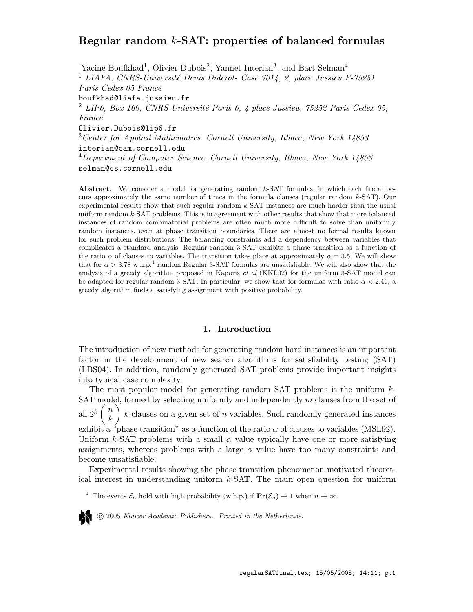# **Regular random** *k***-SAT: properties of balanced formulas**

Yacine Boufkhad<sup>1</sup>, Olivier Dubois<sup>2</sup>, Yannet Interian<sup>3</sup>, and Bart Selman<sup>4</sup> <sup>1</sup> *LIAFA, CNRS-Université Denis Diderot- Case 7014, 2, place Jussieu F-75251 Paris Cedex 05 France* boufkhad@liafa.jussieu.fr <sup>2</sup> *LIP6, Box 169, CNRS-Université Paris 6, 4 place Jussieu, 75252 Paris Cedex 05, France* Olivier.Dubois@lip6.fr <sup>3</sup>*Center for Applied Mathematics. Cornell University, Ithaca, New York 14853* interian@cam.cornell.edu

<sup>4</sup>*Department of Computer Science. Cornell University, Ithaca, New York 14853* selman@cs.cornell.edu

Abstract. We consider a model for generating random k-SAT formulas, in which each literal occurs approximately the same number of times in the formula clauses (regular random  $k$ -SAT). Our experimental results show that such regular random  $k$ -SAT instances are much harder than the usual uniform random k-SAT problems. This is in agreement with other results that show that more balanced instances of random combinatorial problems are often much more difficult to solve than uniformly random instances, even at phase transition boundaries. There are almost no formal results known for such problem distributions. The balancing constraints add a dependency between variables that complicates a standard analysis. Regular random 3-SAT exhibits a phase transition as a function of the ratio  $\alpha$  of clauses to variables. The transition takes place at approximately  $\alpha = 3.5$ . We will show that for  $\alpha > 3.78$  w.h.p.<sup>1</sup> random Regular 3-SAT formulas are unsatisfiable. We will also show that the analysis of a greedy algorithm proposed in Kaporis *et al* (KKL02) for the uniform 3-SAT model can be adapted for regular random 3-SAT. In particular, we show that for formulas with ratio  $\alpha < 2.46$ , a greedy algorithm finds a satisfying assignment with positive probability.

### **1. Introduction**

The introduction of new methods for generating random hard instances is an important factor in the development of new search algorithms for satisfiability testing (SAT) (LBS04). In addition, randomly generated SAT problems provide important insights into typical case complexity.

The most popular model for generating random SAT problems is the uniform k-SAT model, formed by selecting uniformly and independently m clauses from the set of all  $2^k\binom{n}{k}$ k  $\left( \right)$  k-clauses on a given set of *n* variables. Such randomly generated instances exhibit a "phase transition" as a function of the ratio  $\alpha$  of clauses to variables (MSL92). Uniform k-SAT problems with a small  $\alpha$  value typically have one or more satisfying assignments, whereas problems with a large  $\alpha$  value have too many constraints and become unsatisfiable.

Experimental results showing the phase transition phenomenon motivated theoretical interest in understanding uniform  $k$ -SAT. The main open question for uniform

c 2005 *Kluwer Academic Publishers. Printed in the Netherlands.*

The events  $\mathcal{E}_n$  hold with high probability (w.h.p.) if  $\mathbf{Pr}(\mathcal{E}_n) \to 1$  when  $n \to \infty$ .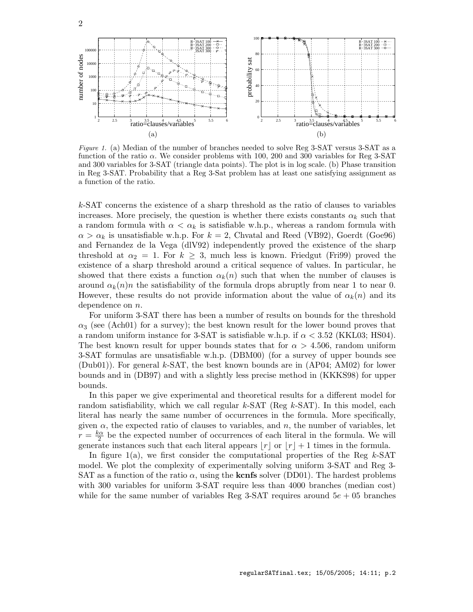

*Figure 1.* (a) Median of the number of branches needed to solve Reg 3-SAT versus 3-SAT as a function of the ratio  $\alpha$ . We consider problems with 100, 200 and 300 variables for Reg 3-SAT and 300 variables for 3-SAT (triangle data points). The plot is in log scale. (b) Phase transition in Reg 3-SAT. Probability that a Reg 3-Sat problem has at least one satisfying assignment as a function of the ratio.

k-SAT concerns the existence of a sharp threshold as the ratio of clauses to variables increases. More precisely, the question is whether there exists constants  $\alpha_k$  such that a random formula with  $\alpha < \alpha_k$  is satisfiable w.h.p., whereas a random formula with  $\alpha > \alpha_k$  is unsatisfiable w.h.p. For  $k = 2$ , Chvatal and Reed (VB92), Goerdt (Goe96) and Fernandez de la Vega (dlV92) independently proved the existence of the sharp threshold at  $\alpha_2 = 1$ . For  $k \geq 3$ , much less is known. Friedgut (Fri99) proved the existence of a sharp threshold around a critical sequence of values. In particular, he showed that there exists a function  $\alpha_k(n)$  such that when the number of clauses is around  $\alpha_k(n)n$  the satisfiability of the formula drops abruptly from near 1 to near 0. However, these results do not provide information about the value of  $\alpha_k(n)$  and its dependence on n.

For uniform 3-SAT there has been a number of results on bounds for the threshold  $\alpha_3$  (see (Ach01) for a survey); the best known result for the lower bound proves that a random uniform instance for 3-SAT is satisfiable w.h.p. if  $\alpha < 3.52$  (KKL03; HS04). The best known result for upper bounds states that for  $\alpha > 4.506$ , random uniform 3-SAT formulas are unsatisfiable w.h.p. (DBM00) (for a survey of upper bounds see (Dub01)). For general k-SAT, the best known bounds are in (AP04; AM02) for lower bounds and in (DB97) and with a slightly less precise method in (KKKS98) for upper bounds.

In this paper we give experimental and theoretical results for a different model for random satisfiability, which we call regular  $k$ -SAT (Reg  $k$ -SAT). In this model, each literal has nearly the same number of occurrences in the formula. More specifically, given  $\alpha$ , the expected ratio of clauses to variables, and n, the number of variables, let  $r = \frac{k\alpha}{2}$  be the expected number of occurrences of each literal in the formula. We will generate instances such that each literal appears  $\lfloor r \rfloor$  or  $\lfloor r \rfloor + 1$  times in the formula.

In figure 1(a), we first consider the computational properties of the Reg  $k$ -SAT model. We plot the complexity of experimentally solving uniform 3-SAT and Reg 3- SAT as a function of the ratio  $\alpha$ , using the **kcnfs** solver (DD01). The hardest problems with 300 variables for uniform 3-SAT require less than 4000 branches (median cost) while for the same number of variables Reg 3-SAT requires around  $5e + 05$  branches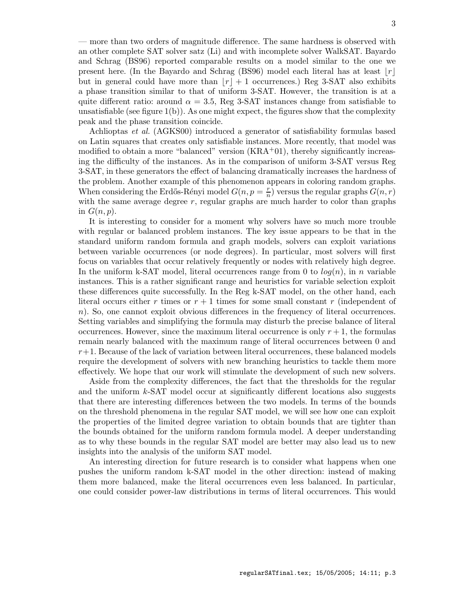— more than two orders of magnitude difference. The same hardness is observed with an other complete SAT solver satz (Li) and with incomplete solver WalkSAT. Bayardo and Schrag (BS96) reported comparable results on a model similar to the one we present here. (In the Bayardo and Schrag (BS96) model each literal has at least  $\lfloor r \rfloor$ but in general could have more than  $\lfloor r \rfloor + 1$  occurrences.) Reg 3-SAT also exhibits a phase transition similar to that of uniform 3-SAT. However, the transition is at a quite different ratio: around  $\alpha = 3.5$ , Reg 3-SAT instances change from satisfiable to unsatisfiable (see figure  $1(b)$ ). As one might expect, the figures show that the complexity peak and the phase transition coincide.

Achlioptas *et al.* (AGKS00) introduced a generator of satisfiability formulas based on Latin squares that creates only satisfiable instances. More recently, that model was modified to obtain a more "balanced" version  $(KRA<sup>+</sup>01)$ , thereby significantly increasing the difficulty of the instances. As in the comparison of uniform 3-SAT versus Reg 3-SAT, in these generators the effect of balancing dramatically increases the hardness of the problem. Another example of this phenomenon appears in coloring random graphs. When considering the Erdős-Rényi model  $G(n, p = \frac{r}{n})$  versus the regular graphs  $G(n, r)$ with the same average degree  $r$ , regular graphs are much harder to color than graphs in  $G(n, p)$ .

It is interesting to consider for a moment why solvers have so much more trouble with regular or balanced problem instances. The key issue appears to be that in the standard uniform random formula and graph models, solvers can exploit variations between variable occurrences (or node degrees). In particular, most solvers will first focus on variables that occur relatively frequently or nodes with relatively high degree. In the uniform k-SAT model, literal occurrences range from 0 to  $log(n)$ , in n variable instances. This is a rather significant range and heuristics for variable selection exploit these differences quite successfully. In the Reg k-SAT model, on the other hand, each literal occurs either r times or  $r + 1$  times for some small constant r (independent of n). So, one cannot exploit obvious differences in the frequency of literal occurrences. Setting variables and simplifying the formula may disturb the precise balance of literal occurrences. However, since the maximum literal occurrence is only  $r + 1$ , the formulas remain nearly balanced with the maximum range of literal occurrences between 0 and  $r+1$ . Because of the lack of variation between literal occurrences, these balanced models require the development of solvers with new branching heuristics to tackle them more effectively. We hope that our work will stimulate the development of such new solvers.

Aside from the complexity differences, the fact that the thresholds for the regular and the uniform  $k$ -SAT model occur at significantly different locations also suggests that there are interesting differences between the two models. In terms of the bounds on the threshold phenomena in the regular SAT model, we will see how one can exploit the properties of the limited degree variation to obtain bounds that are tighter than the bounds obtained for the uniform random formula model. A deeper understanding as to why these bounds in the regular SAT model are better may also lead us to new insights into the analysis of the uniform SAT model.

An interesting direction for future research is to consider what happens when one pushes the uniform random k-SAT model in the other direction: instead of making them more balanced, make the literal occurrences even less balanced. In particular, one could consider power-law distributions in terms of literal occurrences. This would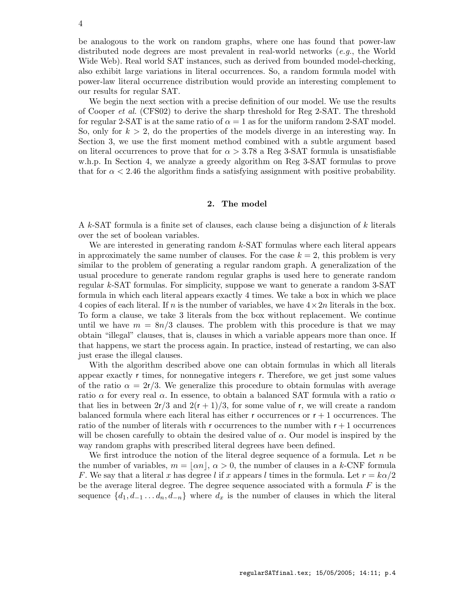4

be analogous to the work on random graphs, where one has found that power-law distributed node degrees are most prevalent in real-world networks (*e.g.*, the World Wide Web). Real world SAT instances, such as derived from bounded model-checking, also exhibit large variations in literal occurrences. So, a random formula model with power-law literal occurrence distribution would provide an interesting complement to our results for regular SAT.

We begin the next section with a precise definition of our model. We use the results of Cooper *et al.* (CFS02) to derive the sharp threshold for Reg 2-SAT. The threshold for regular 2-SAT is at the same ratio of  $\alpha = 1$  as for the uniform random 2-SAT model. So, only for  $k > 2$ , do the properties of the models diverge in an interesting way. In Section 3, we use the first moment method combined with a subtle argument based on literal occurrences to prove that for  $\alpha > 3.78$  a Reg 3-SAT formula is unsatisfiable w.h.p. In Section 4, we analyze a greedy algorithm on Reg 3-SAT formulas to prove that for  $\alpha < 2.46$  the algorithm finds a satisfying assignment with positive probability.

## **2. The model**

A  $k$ -SAT formula is a finite set of clauses, each clause being a disjunction of  $k$  literals over the set of boolean variables.

We are interested in generating random k-SAT formulas where each literal appears in approximately the same number of clauses. For the case  $k = 2$ , this problem is very similar to the problem of generating a regular random graph. A generalization of the usual procedure to generate random regular graphs is used here to generate random regular k-SAT formulas. For simplicity, suppose we want to generate a random 3-SAT formula in which each literal appears exactly 4 times. We take a box in which we place 4 copies of each literal. If n is the number of variables, we have  $4 \times 2n$  literals in the box. To form a clause, we take 3 literals from the box without replacement. We continue until we have  $m = 8n/3$  clauses. The problem with this procedure is that we may obtain "illegal" clauses, that is, clauses in which a variable appears more than once. If that happens, we start the process again. In practice, instead of restarting, we can also just erase the illegal clauses.

With the algorithm described above one can obtain formulas in which all literals appear exactly r times, for nonnegative integers r. Therefore, we get just some values of the ratio  $\alpha = 2r/3$ . We generalize this procedure to obtain formulas with average ratio  $\alpha$  for every real  $\alpha$ . In essence, to obtain a balanced SAT formula with a ratio  $\alpha$ that lies in between  $2r/3$  and  $2(r + 1)/3$ , for some value of r, we will create a random balanced formula where each literal has either r occurrences or  $r + 1$  occurrences. The ratio of the number of literals with r occurrences to the number with  $r + 1$  occurrences will be chosen carefully to obtain the desired value of  $\alpha$ . Our model is inspired by the way random graphs with prescribed literal degrees have been defined.

We first introduce the notion of the literal degree sequence of a formula. Let  $n$  be the number of variables,  $m = \lfloor \alpha n \rfloor$ ,  $\alpha > 0$ , the number of clauses in a k-CNF formula F. We say that a literal x has degree l if x appears l times in the formula. Let  $r = k\alpha/2$ be the average literal degree. The degree sequence associated with a formula  $F$  is the sequence  $\{d_1, d_{-1} \ldots d_n, d_{-n}\}\$  where  $d_x$  is the number of clauses in which the literal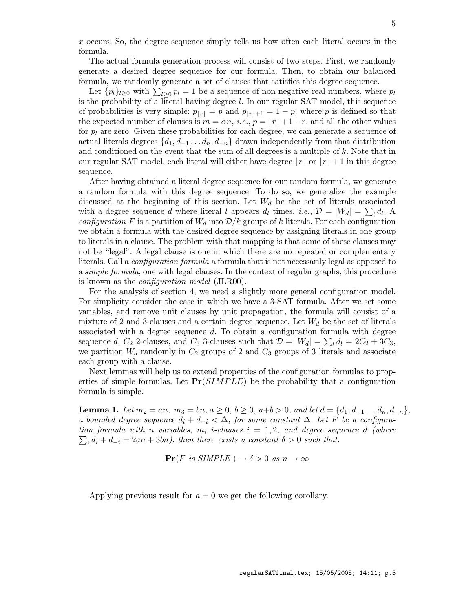x occurs. So, the degree sequence simply tells us how often each literal occurs in the formula.

The actual formula generation process will consist of two steps. First, we randomly generate a desired degree sequence for our formula. Then, to obtain our balanced formula, we randomly generate a set of clauses that satisfies this degree sequence.

Let  $\{p_l\}_{l\geq0}$  with  $\sum_{l\geq0}p_l=1$  be a sequence of non negative real numbers, where  $p_l$ is the probability of a literal having degree l. In our regular SAT model, this sequence of probabilities is very simple:  $p_{\lfloor r\rfloor} = p$  and  $p_{\lfloor r\rfloor+1} = 1 - p$ , where p is defined so that the expected number of clauses is  $m = \alpha n$ , *i.e.*,  $p = \lfloor r \rfloor + 1 - r$ , and all the other values for  $p_l$  are zero. Given these probabilities for each degree, we can generate a sequence of actual literals degrees  $\{d_1, d_{-1} \ldots d_n, d_{-n}\}\$  drawn independently from that distribution and conditioned on the event that the sum of all degrees is a multiple of  $k$ . Note that in our regular SAT model, each literal will either have degree  $\lfloor r \rfloor$  or  $\lfloor r \rfloor + 1$  in this degree sequence.

After having obtained a literal degree sequence for our random formula, we generate a random formula with this degree sequence. To do so, we generalize the example discussed at the beginning of this section. Let  $W_d$  be the set of literals associated with a degree sequence d where literal l appears  $d_l$  times, *i.e.*,  $\mathcal{D} = |W_d| = \sum_l d_l$ . A *configuration* F is a partition of  $W_d$  into  $\mathcal{D}/k$  groups of k literals. For each configuration we obtain a formula with the desired degree sequence by assigning literals in one group to literals in a clause. The problem with that mapping is that some of these clauses may not be "legal". A legal clause is one in which there are no repeated or complementary literals. Call a *configuration formula* a formula that is not necessarily legal as opposed to a *simple formula*, one with legal clauses. In the context of regular graphs, this procedure is known as the *configuration model* (JLR00).

For the analysis of section 4, we need a slightly more general configuration model. For simplicity consider the case in which we have a 3-SAT formula. After we set some variables, and remove unit clauses by unit propagation, the formula will consist of a mixture of 2 and 3-clauses and a certain degree sequence. Let  $W_d$  be the set of literals associated with a degree sequence  $d$ . To obtain a configuration formula with degree sequence d,  $C_2$  2-clauses, and  $C_3$  3-clauses such that  $\mathcal{D} = |W_d| = \sum_l d_l = 2C_2 + 3C_3$ , we partition  $W_d$  randomly in  $C_2$  groups of 2 and  $C_3$  groups of 3 literals and associate each group with a clause.

Next lemmas will help us to extend properties of the configuration formulas to properties of simple formulas. Let  $Pr(SIMPLE)$  be the probability that a configuration formula is simple.

**Lemma 1.** *Let*  $m_2 = an$ ,  $m_3 = bn$ ,  $a \ge 0$ ,  $b \ge 0$ ,  $a+b > 0$ , and let  $d = \{d_1, d_{-1} \ldots d_n, d_{-n}\}$ , *a bounded degree sequence*  $d_i + d_{-i} < \Delta$ , for some constant  $\Delta$ . Let F be a configura*tion formula with n variables*,  $m_i$  *i*-*clauses*  $i = 1, 2$ *, and degree sequence d* (where  $\sum_i d_i + d_{-i} = 2an + 3bn$ , then there exists a constant  $\delta > 0$  such that,

$$
\Pr(F \text{ is SIMPLE}) \to \delta > 0 \text{ as } n \to \infty
$$

Applying previous result for  $a = 0$  we get the following corollary.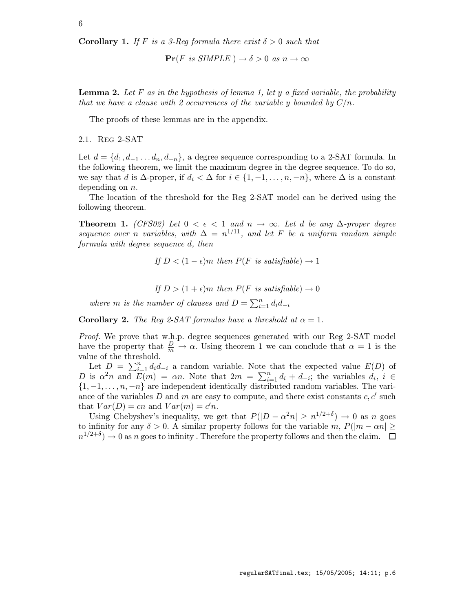**Corollary 1.** *If* F *is a 3-Reg formula there exist*  $\delta > 0$  *such that* 

 $\Pr(F \text{ is } SIMPLE \rightarrow \delta > 0 \text{ as } n \rightarrow \infty$ 

**Lemma 2.** *Let* F *as in the hypothesis of lemma 1, let* y *a fixed variable, the probability that we have a clause with 2 occurrences of the variable y bounded by*  $C/n$ *.* 

The proofs of these lemmas are in the appendix.

2.1. Reg 2-SAT

Let  $d = \{d_1, d_{-1} \ldots d_n, d_{-n}\}\$ , a degree sequence corresponding to a 2-SAT formula. In the following theorem, we limit the maximum degree in the degree sequence. To do so, we say that d is  $\Delta$ -proper, if  $d_i < \Delta$  for  $i \in \{1, -1, \ldots, n, -n\}$ , where  $\Delta$  is a constant depending on n.

The location of the threshold for the Reg 2-SAT model can be derived using the following theorem.

**Theorem 1.** *(CFS02)* Let  $0 < \epsilon < 1$  and  $n \to \infty$ . Let d be any  $\Delta$ -proper degree *sequence over n variables, with*  $\Delta = n^{1/11}$ *, and let* F *be a uniform random simple formula with degree sequence* d*, then*

*If*  $D < (1 - \epsilon)m$  *then*  $P(F$  *is satisfiable*)  $\rightarrow 1$ 

*If*  $D > (1 + \epsilon)m$  *then*  $P(F \text{ is satisfiable}) \rightarrow 0$ 

*where m is the number of clauses and*  $D = \sum_{i=1}^{n} d_i d_{-i}$ 

**Corollary 2.** *The Reg 2-SAT formulas have a threshold at*  $\alpha = 1$ *.* 

*Proof.* We prove that w.h.p. degree sequences generated with our Reg 2-SAT model have the property that  $\frac{D}{m} \to \alpha$ . Using theorem 1 we can conclude that  $\alpha = 1$  is the value of the threshold.

Let  $D = \sum_{i=1}^{n} d_i d_{-i}$  a random variable. Note that the expected value  $E(D)$  of D is  $\alpha^2 n$  and  $E(m) = \alpha n$ . Note that  $2m = \sum_{i=1}^n d_i + d_{-i}$ ; the variables  $d_i$ ,  $i \in$  $\{1, -1, \ldots, n, -n\}$  are independent identically distributed random variables. The variance of the variables D and m are easy to compute, and there exist constants  $c, c'$  such that  $Var(D) = cn$  and  $Var(m) = c'n$ .

Using Chebyshev's inequality, we get that  $P(|D - \alpha^2 n| \geq n^{1/2+\delta}) \to 0$  as n goes to infinity for any  $\delta > 0$ . A similar property follows for the variable m,  $P(|m - \alpha n| \geq$  $n^{1/2+\delta}$   $\rightarrow$  0 as n goes to infinity. Therefore the property follows and then the claim.  $\Box$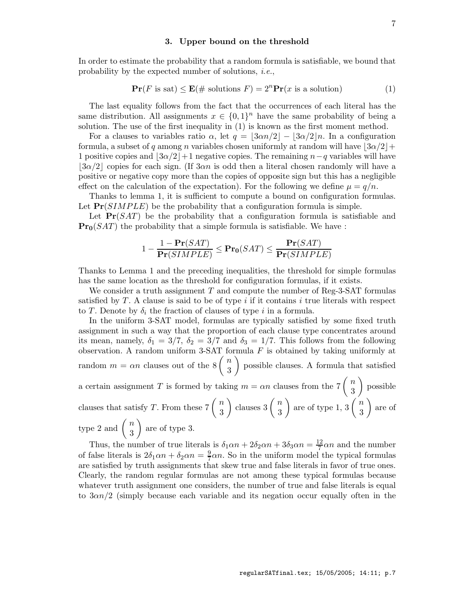## **3. Upper bound on the threshold**

In order to estimate the probability that a random formula is satisfiable, we bound that probability by the expected number of solutions, *i.e.*,

$$
\mathbf{Pr}(F \text{ is sat}) \le \mathbf{E}(\# \text{ solutions } F) = 2^n \mathbf{Pr}(x \text{ is a solution}) \tag{1}
$$

The last equality follows from the fact that the occurrences of each literal has the same distribution. All assignments  $x \in \{0,1\}^n$  have the same probability of being a solution. The use of the first inequality in (1) is known as the first moment method.

For a clauses to variables ratio  $\alpha$ , let  $q = \lfloor 3\alpha/2 \rfloor - \lfloor 3\alpha/2 \rfloor n$ . In a configuration formula, a subset of q among n variables chosen uniformly at random will have  $\left[3\alpha/2\right]+$ 1 positive copies and  $\lfloor 3\alpha/2 \rfloor + 1$  negative copies. The remaining n–q variables will have [ $3\alpha/2$ ] copies for each sign. (If  $3\alpha n$  is odd then a literal chosen randomly will have a positive or negative copy more than the copies of opposite sign but this has a negligible effect on the calculation of the expectation). For the following we define  $\mu = q/n$ .

Thanks to lemma 1, it is sufficient to compute a bound on configuration formulas. Let  $Pr(SIMPLE)$  be the probability that a configuration formula is simple.

Let  $Pr(SAT)$  be the probability that a configuration formula is satisfiable and  $\mathbf{Pr}_{\mathbf{0}}(SAT)$  the probability that a simple formula is satisfiable. We have :

$$
1 - \frac{1 - \Pr(SAT)}{\Pr(SIMPLE)} \leq \Pr_0(SAT) \leq \frac{\Pr(SAT)}{\Pr(SIMPLE)}
$$

Thanks to Lemma 1 and the preceding inequalities, the threshold for simple formulas has the same location as the threshold for configuration formulas, if it exists.

We consider a truth assignment  $T$  and compute the number of Reg-3-SAT formulas satisfied by T. A clause is said to be of type i if it contains i true literals with respect to T. Denote by  $\delta_i$  the fraction of clauses of type i in a formula.

In the uniform 3-SAT model, formulas are typically satisfied by some fixed truth assignment in such a way that the proportion of each clause type concentrates around its mean, namely,  $\delta_1 = 3/7$ ,  $\delta_2 = 3/7$  and  $\delta_3 = 1/7$ . This follows from the following observation. A random uniform  $3\text{-SAT}$  formula  $F$  is obtained by taking uniformly at random  $m = \alpha n$  clauses out of the  $8\begin{pmatrix} n \\ 3 \end{pmatrix}$ - possible clauses. A formula that satisfied a certain assignment T is formed by taking  $m = \alpha n$  clauses from the  $7\binom{n}{3}$ - possible clauses that satisfy T. From these  $7\binom{n}{3}$  $\bigg)$  clauses  $3\left(\begin{array}{c} n \\ 3 \end{array}\right)$  $\Big)$  are of type 1, 3  $\Big(\! \begin{array}{c} n \ 3 \end{array} \!\!\Big)$ - are of type 2 and  $\begin{pmatrix} n \\ 3 \end{pmatrix}$  $\Big)$  are of type 3.

Thus, the number of true literals is  $\delta_1 \alpha n + 2\delta_2 \alpha n + 3\delta_3 \alpha n = \frac{12}{7} \alpha n$  and the number of false literals is  $2\delta_1 \alpha n + \delta_2 \alpha n = \frac{9}{7} \alpha n$ . So in the uniform model the typical formulas are satisfied by truth assignments that skew true and false literals in favor of true ones. Clearly, the random regular formulas are not among these typical formulas because whatever truth assignment one considers, the number of true and false literals is equal to  $3\alpha n/2$  (simply because each variable and its negation occur equally often in the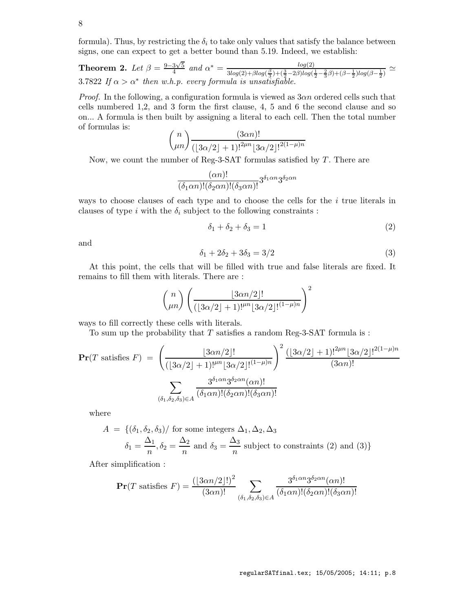formula). Thus, by restricting the  $\delta_i$  to take only values that satisfy the balance between signs, one can expect to get a better bound than 5.19. Indeed, we establish:

**Theorem 2.** *Let*  $\beta = \frac{9-3\sqrt{5}}{4}$  *and*  $\alpha^* = \frac{log(2)}{3log(2)+\beta log(\frac{\beta}{3})+(\frac{3}{2}-2\beta)log(\frac{1}{2}-\frac{2}{3}\beta)+(\beta-\frac{1}{2})log(\beta-\frac{1}{2})} \simeq$ 3.7822 *If*  $\alpha > \alpha^*$  *then w.h.p. every formula is unsatisfiable.* 

*Proof.* In the following, a configuration formula is viewed as  $3\alpha n$  ordered cells such that cells numbered 1,2, and 3 form the first clause, 4, 5 and 6 the second clause and so on... A formula is then built by assigning a literal to each cell. Then the total number of formulas is:

$$
\binom{n}{\mu n} \frac{(3\alpha n)!}{(\lfloor 3\alpha/2 \rfloor + 1)!^{2\mu n} \lfloor 3\alpha/2 \rfloor!^{2(1-\mu)n}}
$$

Now, we count the number of Reg-3-SAT formulas satisfied by T. There are

$$
\frac{(\alpha n)!}{(\delta_1 \alpha n)! (\delta_2 \alpha n)! (\delta_3 \alpha n)!} 3^{\delta_1 \alpha n} 3^{\delta_2 \alpha n}
$$

ways to choose clauses of each type and to choose the cells for the  $i$  true literals in clauses of type i with the  $\delta_i$  subject to the following constraints :

$$
\delta_1 + \delta_2 + \delta_3 = 1\tag{2}
$$

and

$$
\delta_1 + 2\delta_2 + 3\delta_3 = 3/2 \tag{3}
$$

At this point, the cells that will be filled with true and false literals are fixed. It remains to fill them with literals. There are :

$$
\binom{n}{\mu n} \left( \frac{\lfloor 3\alpha n/2 \rfloor!}{\left( \lfloor 3\alpha/2 \rfloor + 1 \right)^{\mu n} \lfloor 3\alpha/2 \rfloor!^{(1-\mu)n}} \right)^2
$$

ways to fill correctly these cells with literals.

To sum up the probability that  $T$  satisfies a random Reg-3-SAT formula is :

$$
\mathbf{Pr}(T \text{ satisfies } F) = \left(\frac{\lfloor 3\alpha n/2 \rfloor!}{(\lfloor 3\alpha/2 \rfloor + 1)!^{\mu n} \lfloor 3\alpha/2 \rfloor!^{(1-\mu)n}}\right)^2 \frac{(\lfloor 3\alpha/2 \rfloor + 1)!^{2\mu n} \lfloor 3\alpha/2 \rfloor!^{2(1-\mu)n}}{(3\alpha n)!}
$$

$$
\sum_{(\delta_1, \delta_2, \delta_3) \in A} \frac{3^{\delta_1 \alpha n} 3^{\delta_2 \alpha n} (\alpha n)!}{(\delta_1 \alpha n)! (\delta_2 \alpha n)! (\delta_3 \alpha n)!}
$$

where

$$
A = \{ (\delta_1, \delta_2, \delta_3) / \text{ for some integers } \Delta_1, \Delta_2, \Delta_3
$$

$$
\delta_1 = \frac{\Delta_1}{n}, \delta_2 = \frac{\Delta_2}{n} \text{ and } \delta_3 = \frac{\Delta_3}{n} \text{ subject to constraints (2) and (3)} \}
$$

After simplification :

$$
\mathbf{Pr}(T \text{ satisfies } F) = \frac{(\lfloor 3\alpha n/2 \rfloor!)^2}{(3\alpha n)!} \sum_{(\delta_1, \delta_2, \delta_3) \in A} \frac{3^{\delta_1 \alpha n} 3^{\delta_2 \alpha n} (\alpha n)!}{(\delta_1 \alpha n)! (\delta_2 \alpha n)! (\delta_3 \alpha n)!}
$$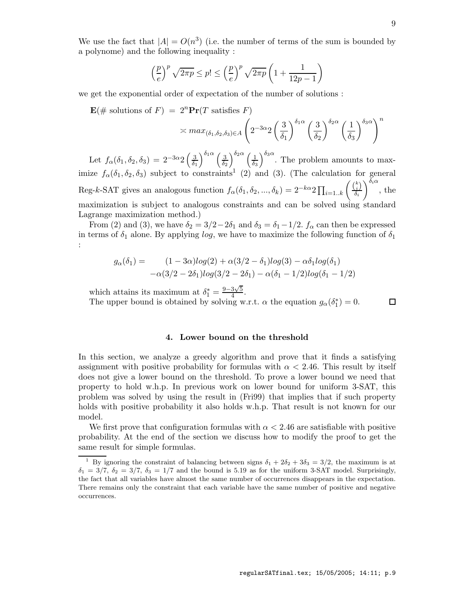We use the fact that  $|A| = O(n^3)$  (i.e. the number of terms of the sum is bounded by a polynome) and the following inequality :

$$
\left(\frac{p}{e}\right)^p \sqrt{2\pi p} \le p! \le \left(\frac{p}{e}\right)^p \sqrt{2\pi p} \left(1 + \frac{1}{12p - 1}\right)
$$

we get the exponential order of expectation of the number of solutions :

 $\mathbf{E}(\# \text{ solutions of } F) = 2^n \mathbf{Pr}(T \text{ satisfies } F)$ 

$$
\asymp max_{(\delta_1, \delta_2, \delta_3) \in A} \left( 2^{-3\alpha} 2 \left( \frac{3}{\delta_1} \right)^{\delta_1 \alpha} \left( \frac{3}{\delta_2} \right)^{\delta_2 \alpha} \left( \frac{1}{\delta_3} \right)^{\delta_3 \alpha} \right)^n
$$

Let  $f_{\alpha}(\delta_1, \delta_2, \delta_3)=2^{-3\alpha} 2 \left(\frac{3}{\delta_1}\right)^{\delta_1 \alpha} \left(\frac{3}{\delta_2}\right)^{\delta_2 \alpha} \left(\frac{1}{\delta_3}\right)^{\delta_3 \alpha}$ . The problem amounts to maximize  $f_{\alpha}(\delta_1, \delta_2, \delta_3)$  subject to constraints<sup>1</sup> (2) and (3). (The calculation for general Reg-k-SAT gives an analogous function  $f_{\alpha}(\delta_1, \delta_2, ..., \delta_k) = 2^{-k\alpha} 2 \prod_{i=1..k} \left( \frac{\binom{k}{i}}{\delta_i} \right)$  $\delta_i$  $\int$ <sup> $\delta_i \alpha$ </sup> , the maximization is subject to analogous constraints and can be solved using standard Lagrange maximization method.)

From (2) and (3), we have  $\delta_2 = 3/2 - 2\delta_1$  and  $\delta_3 = \delta_1 - 1/2$ .  $f_\alpha$  can then be expressed in terms of  $\delta_1$  alone. By applying log, we have to maximize the following function of  $\delta_1$ :

$$
g_{\alpha}(\delta_1) = (1 - 3\alpha)log(2) + \alpha(3/2 - \delta_1)log(3) - \alpha\delta_1 log(\delta_1) -\alpha(3/2 - 2\delta_1)log(3/2 - 2\delta_1) - \alpha(\delta_1 - 1/2)log(\delta_1 - 1/2)
$$

which attains its maximum at  $\delta_1^* = \frac{9-3\sqrt{5}}{4}$ .

The upper bound is obtained by solving w.r.t.  $\alpha$  the equation  $g_{\alpha}(\delta_1^*)=0$ .

 $\Box$ 

### **4. Lower bound on the threshold**

In this section, we analyze a greedy algorithm and prove that it finds a satisfying assignment with positive probability for formulas with  $\alpha < 2.46$ . This result by itself does not give a lower bound on the threshold. To prove a lower bound we need that property to hold w.h.p. In previous work on lower bound for uniform 3-SAT, this problem was solved by using the result in (Fri99) that implies that if such property holds with positive probability it also holds w.h.p. That result is not known for our model.

We first prove that configuration formulas with  $\alpha < 2.46$  are satisfiable with positive probability. At the end of the section we discuss how to modify the proof to get the same result for simple formulas.

<sup>&</sup>lt;sup>1</sup> By ignoring the constraint of balancing between signs  $\delta_1 + 2\delta_2 + 3\delta_3 = 3/2$ , the maximum is at  $\delta_1 = 3/7$ ,  $\delta_2 = 3/7$ ,  $\delta_3 = 1/7$  and the bound is 5.19 as for the uniform 3-SAT model. Surprisingly, the fact that all variables have almost the same number of occurrences disappears in the expectation. There remains only the constraint that each variable have the same number of positive and negative occurrences.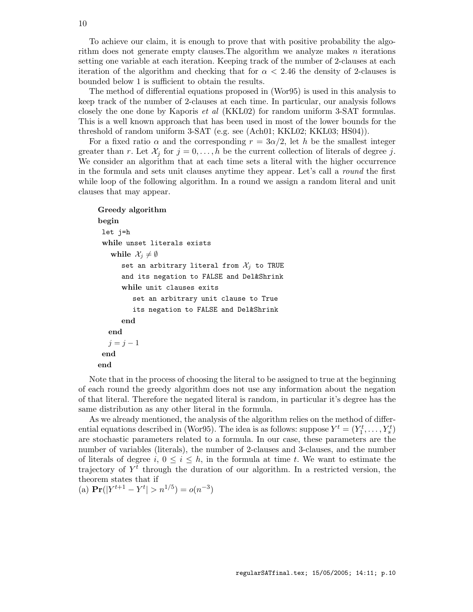To achieve our claim, it is enough to prove that with positive probability the algorithm does not generate empty clauses.The algorithm we analyze makes n iterations setting one variable at each iteration. Keeping track of the number of 2-clauses at each iteration of the algorithm and checking that for  $\alpha < 2.46$  the density of 2-clauses is bounded below 1 is sufficient to obtain the results.

The method of differential equations proposed in (Wor95) is used in this analysis to keep track of the number of 2-clauses at each time. In particular, our analysis follows closely the one done by Kaporis *et al* (KKL02) for random uniform 3-SAT formulas. This is a well known approach that has been used in most of the lower bounds for the threshold of random uniform 3-SAT (e.g. see (Ach01; KKL02; KKL03; HS04)).

For a fixed ratio  $\alpha$  and the corresponding  $r = 3\alpha/2$ , let h be the smallest integer greater than r. Let  $\mathcal{X}_j$  for  $j = 0, \ldots, h$  be the current collection of literals of degree j. We consider an algorithm that at each time sets a literal with the higher occurrence in the formula and sets unit clauses anytime they appear. Let's call a *round* the first while loop of the following algorithm. In a round we assign a random literal and unit clauses that may appear.

## **Greedy algorithm**

```
begin
 let j=h
 while unset literals exists
   while \mathcal{X}_j \neq \emptysetset an arbitrary literal from \mathcal{X}_j to TRUE
      and its negation to FALSE and Del&Shrink
      while unit clauses exits
         set an arbitrary unit clause to True
         its negation to FALSE and Del&Shrink
      end
  end
  j = j - 1end
end
```
Note that in the process of choosing the literal to be assigned to true at the beginning of each round the greedy algorithm does not use any information about the negation of that literal. Therefore the negated literal is random, in particular it's degree has the same distribution as any other literal in the formula.

As we already mentioned, the analysis of the algorithm relies on the method of differential equations described in (Wor95). The idea is as follows: suppose  $Y^t = (Y_1^t, \ldots, Y_s^t)$ are stochastic parameters related to a formula. In our case, these parameters are the number of variables (literals), the number of 2-clauses and 3-clauses, and the number of literals of degree i,  $0 \le i \le h$ , in the formula at time t. We want to estimate the trajectory of  $Y<sup>t</sup>$  through the duration of our algorithm. In a restricted version, the theorem states that if

(a) 
$$
\Pr(|Y^{t+1} - Y^t| > n^{1/5}) = o(n^{-3})
$$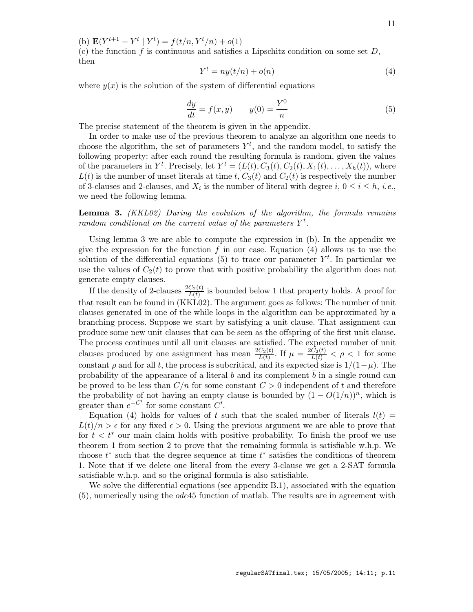(b)  $\mathbf{E}(Y^{t+1} - Y^t | Y^t) = f(t/n, Y^t/n) + o(1)$ 

(c) the function f is continuous and satisfies a Lipschitz condition on some set  $D$ , then

$$
Y^t = ny(t/n) + o(n) \tag{4}
$$

where  $y(x)$  is the solution of the system of differential equations

$$
\frac{dy}{dt} = f(x, y) \qquad y(0) = \frac{Y^0}{n} \tag{5}
$$

The precise statement of the theorem is given in the appendix.

In order to make use of the previous theorem to analyze an algorithm one needs to choose the algorithm, the set of parameters  $Y<sup>t</sup>$ , and the random model, to satisfy the following property: after each round the resulting formula is random, given the values of the parameters in  $Y^t$ . Precisely, let  $Y^t = (L(t), C_3(t), C_2(t), X_1(t), \ldots, X_h(t))$ , where  $L(t)$  is the number of unset literals at time t,  $C_3(t)$  and  $C_2(t)$  is respectively the number of 3-clauses and 2-clauses, and  $X_i$  is the number of literal with degree  $i, 0 \le i \le h$ , *i.e.*, we need the following lemma.

**Lemma 3.** *(KKL02) During the evolution of the algorithm, the formula remains random conditional on the current value of the parameters*  $Y^t$ .

Using lemma 3 we are able to compute the expression in (b). In the appendix we give the expression for the function f in our case. Equation  $(4)$  allows us to use the solution of the differential equations (5) to trace our parameter  $Y<sup>t</sup>$ . In particular we use the values of  $C_2(t)$  to prove that with positive probability the algorithm does not generate empty clauses.

If the density of 2-clauses  $\frac{2C_2(t)}{L(t)}$  is bounded below 1 that property holds. A proof for that result can be found in (KKL02). The argument goes as follows: The number of unit clauses generated in one of the while loops in the algorithm can be approximated by a branching process. Suppose we start by satisfying a unit clause. That assignment can produce some new unit clauses that can be seen as the offspring of the first unit clause. The process continues until all unit clauses are satisfied. The expected number of unit clauses produced by one assignment has mean  $\frac{2C_2(t)}{L(t)}$ . If  $\mu = \frac{2C_2(t)}{L(t)} < \rho < 1$  for some constant  $\rho$  and for all t, the process is subcritical, and its expected size is  $1/(1-\mu)$ . The probability of the appearance of a literal  $b$  and its complement  $b$  in a single round can be proved to be less than  $C/n$  for some constant  $C > 0$  independent of t and therefore the probability of not having an empty clause is bounded by  $(1 - O(1/n))^n$ , which is greater than  $e^{-C'}$  for some constant  $C'$ .

Equation (4) holds for values of t such that the scaled number of literals  $l(t)$  =  $L(t)/n > \epsilon$  for any fixed  $\epsilon > 0$ . Using the previous argument we are able to prove that for  $t < t^*$  our main claim holds with positive probability. To finish the proof we use theorem 1 from section 2 to prove that the remaining formula is satisfiable w.h.p. We choose  $t^*$  such that the degree sequence at time  $t^*$  satisfies the conditions of theorem 1. Note that if we delete one literal from the every 3-clause we get a 2-SAT formula satisfiable w.h.p. and so the original formula is also satisfiable.

We solve the differential equations (see appendix B.1), associated with the equation (5), numerically using the ode45 function of matlab. The results are in agreement with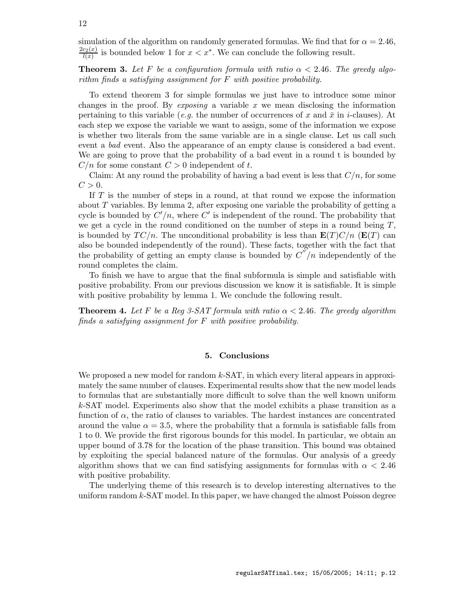simulation of the algorithm on randomly generated formulas. We find that for  $\alpha = 2.46$ ,  $\frac{2c_2(x)}{l(x)}$  is bounded below 1 for  $x < x^*$ . We can conclude the following result.

**Theorem 3.** Let F be a configuration formula with ratio  $\alpha < 2.46$ . The greedy algo*rithm finds a satisfying assignment for* F *with positive probability.*

To extend theorem 3 for simple formulas we just have to introduce some minor changes in the proof. By *exposing* a variable  $x$  we mean disclosing the information pertaining to this variable (*e.g.* the number of occurrences of x and  $\bar{x}$  in i-clauses). At each step we expose the variable we want to assign, some of the information we expose is whether two literals from the same variable are in a single clause. Let us call such event a *bad* event. Also the appearance of an empty clause is considered a bad event. We are going to prove that the probability of a bad event in a round t is bounded by  $C/n$  for some constant  $C > 0$  independent of t.

Claim: At any round the probability of having a bad event is less that  $C/n$ , for some  $C>0$ .

If T is the number of steps in a round, at that round we expose the information about T variables. By lemma 2, after exposing one variable the probability of getting a cycle is bounded by  $C'/n$ , where C' is independent of the round. The probability that we get a cycle in the round conditioned on the number of steps in a round being  $T$ , is bounded by  $TC/n$ . The unconditional probability is less than  $\mathbf{E}(T)C/n$  ( $\mathbf{E}(T)$ ) can also be bounded independently of the round). These facts, together with the fact that the probability of getting an empty clause is bounded by  $C''/n$  independently of the round completes the claim.

To finish we have to argue that the final subformula is simple and satisfiable with positive probability. From our previous discussion we know it is satisfiable. It is simple with positive probability by lemma 1. We conclude the following result.

**Theorem 4.** Let F be a Reg 3-SAT formula with ratio  $\alpha < 2.46$ . The greedy algorithm *finds a satisfying assignment for* F *with positive probability.*

## **5. Conclusions**

We proposed a new model for random k-SAT, in which every literal appears in approximately the same number of clauses. Experimental results show that the new model leads to formulas that are substantially more difficult to solve than the well known uniform k-SAT model. Experiments also show that the model exhibits a phase transition as a function of  $\alpha$ , the ratio of clauses to variables. The hardest instances are concentrated around the value  $\alpha = 3.5$ , where the probability that a formula is satisfiable falls from 1 to 0. We provide the first rigorous bounds for this model. In particular, we obtain an upper bound of 3.78 for the location of the phase transition. This bound was obtained by exploiting the special balanced nature of the formulas. Our analysis of a greedy algorithm shows that we can find satisfying assignments for formulas with  $\alpha < 2.46$ with positive probability.

The underlying theme of this research is to develop interesting alternatives to the uniform random k-SAT model. In this paper, we have changed the almost Poisson degree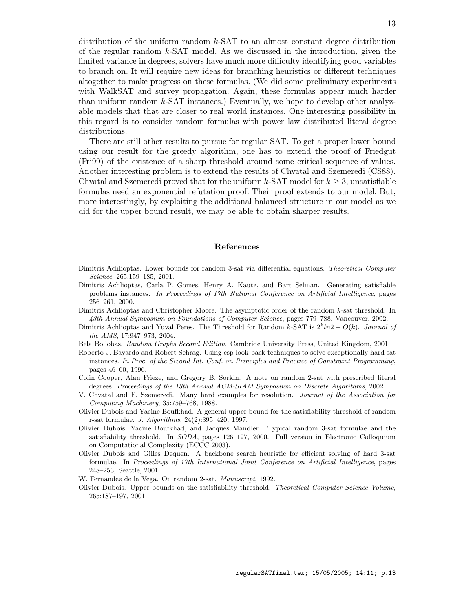distribution of the uniform random k-SAT to an almost constant degree distribution of the regular random k-SAT model. As we discussed in the introduction, given the limited variance in degrees, solvers have much more difficulty identifying good variables to branch on. It will require new ideas for branching heuristics or different techniques altogether to make progress on these formulas. (We did some preliminary experiments with WalkSAT and survey propagation. Again, these formulas appear much harder than uniform random  $k$ -SAT instances.) Eventually, we hope to develop other analyzable models that that are closer to real world instances. One interesting possibility in this regard is to consider random formulas with power law distributed literal degree distributions.

There are still other results to pursue for regular SAT. To get a proper lower bound using our result for the greedy algorithm, one has to extend the proof of Friedgut (Fri99) of the existence of a sharp threshold around some critical sequence of values. Another interesting problem is to extend the results of Chvatal and Szemeredi (CS88). Chvatal and Szemeredi proved that for the uniform k-SAT model for  $k \geq 3$ , unsatisfiable formulas need an exponential refutation proof. Their proof extends to our model. But, more interestingly, by exploiting the additional balanced structure in our model as we did for the upper bound result, we may be able to obtain sharper results.

#### **References**

- Dimitris Achlioptas. Lower bounds for random 3-sat via differential equations. *Theoretical Computer Science*, 265:159–185, 2001.
- Dimitris Achlioptas, Carla P. Gomes, Henry A. Kautz, and Bart Selman. Generating satisfiable problems instances. *In Proceedings of 17th National Conference on Artificial Intelligence*, pages 256–261, 2000.
- Dimitris Achlioptas and Christopher Moore. The asymptotic order of the random k-sat threshold. In *43th Annual Symposium on Foundations of Computer Science*, pages 779–788, Vancouver, 2002.
- Dimitris Achlioptas and Yuval Peres. The Threshold for Random k-SAT is  $2^k ln 2 − O(k)$ . *Journal of the AMS*, 17:947–973, 2004.
- Bela Bollobas. *Random Graphs Second Edition*. Cambride University Press, United Kingdom, 2001.
- Roberto J. Bayardo and Robert Schrag. Using csp look-back techniques to solve exceptionally hard sat instances. *In Proc. of the Second Int. Conf. on Principles and Practice of Constraint Programming*, pages 46–60, 1996.
- Colin Cooper, Alan Frieze, and Gregory B. Sorkin. A note on random 2-sat with prescribed literal degrees. *Proceedings of the 13th Annual ACM-SIAM Symposium on Discrete Algorithms*, 2002.
- V. Chvatal and E. Szemeredi. Many hard examples for resolution. *Journal of the Association for Computing Machinery*, 35:759–768, 1988.
- Olivier Dubois and Yacine Boufkhad. A general upper bound for the satisfiability threshold of random r-sat formulae. *J. Algorithms*, 24(2):395–420, 1997.
- Olivier Dubois, Yacine Boufkhad, and Jacques Mandler. Typical random 3-sat formulae and the satisfiability threshold. In *SODA*, pages 126–127, 2000. Full version in Electronic Colloquium on Computational Complexity (ECCC 2003).
- Olivier Dubois and Gilles Dequen. A backbone search heuristic for efficient solving of hard 3-sat formulae. In *Proceedings of 17th International Joint Conference on Artificial Intelligence*, pages 248–253, Seattle, 2001.
- W. Fernandez de la Vega. On random 2-sat. *Manuscript*, 1992.
- Olivier Dubois. Upper bounds on the satisfiability threshold. *Theoretical Computer Science Volume*, 265:187–197, 2001.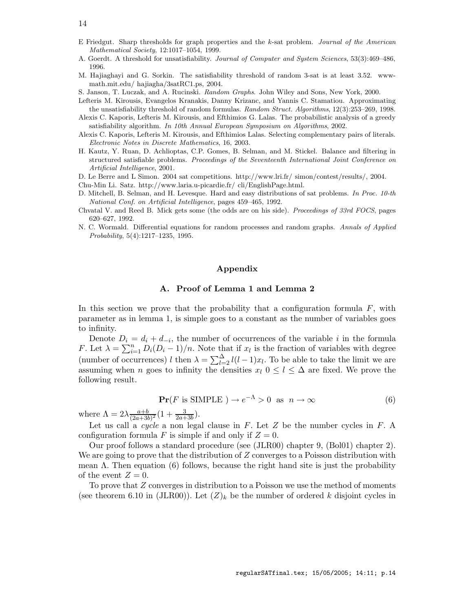- E Friedgut. Sharp thresholds for graph properties and the k-sat problem. *Journal of the American Mathematical Society*, 12:1017–1054, 1999.
- A. Goerdt. A threshold for unsatisfiability. *Journal of Computer and System Sciences*, 53(3):469–486, 1996.
- M. Hajiaghayi and G. Sorkin. The satisfiability threshold of random 3-sat is at least 3.52. wwwmath.mit.edu/ hajiagha/3satRC1.ps, 2004.
- S. Janson, T. Luczak, and A. Rucinski. *Random Graphs*. John Wiley and Sons, New York, 2000.
- Lefteris M. Kirousis, Evangelos Kranakis, Danny Krizanc, and Yannis C. Stamatiou. Approximating the unsatisfiability threshold of random formulas. *Random Struct. Algorithms*, 12(3):253–269, 1998.

Alexis C. Kaporis, Lefteris M. Kirousis, and Efthimios G. Lalas. The probabilistic analysis of a greedy satisfiability algorithm. *In 10th Annual European Symposium on Algorithms*, 2002.

- Alexis C. Kaporis, Lefteris M. Kirousis, and Efthimios Lalas. Selecting complementary pairs of literals. *Electronic Notes in Discrete Mathematics*, 16, 2003.
- H. Kautz, Y. Ruan, D. Achlioptas, C.P. Gomes, B. Selman, and M. Stickel. Balance and filtering in structured satisfiable problems. *Proceedings of the Seventeenth International Joint Conference on Artificial Intelligence*, 2001.

D. Le Berre and L Simon. 2004 sat competitions. http://www.lri.fr/ simon/contest/results/, 2004.

Chu-Min Li. Satz. http://www.laria.u-picardie.fr/ cli/EnglishPage.html.

- D. Mitchell, B. Selman, and H. Levesque. Hard and easy distributions of sat problems. *In Proc. 10-th National Conf. on Artificial Intelligence*, pages 459–465, 1992.
- Chvatal V. and Reed B. Mick gets some (the odds are on his side). *Proceedings of 33rd FOCS*, pages 620–627, 1992.
- N. C. Wormald. Differential equations for random processes and random graphs. *Annals of Applied Probability*, 5(4):1217–1235, 1995.

#### **Appendix**

#### **A. Proof of Lemma 1 and Lemma 2**

In this section we prove that the probability that a configuration formula  $F$ , with parameter as in lemma 1, is simple goes to a constant as the number of variables goes to infinity.

Denote  $D_i = d_i + d_{-i}$ , the number of occurrences of the variable i in the formula F. Let  $\lambda = \sum_{i=1}^n D_i(D_i - 1)/n$ . Note that if  $x_l$  is the fraction of variables with degree (number of occurrences) l then  $\lambda = \sum_{l=2}^{\Delta} l(l-1)x_l$ . To be able to take the limit we are assuming when n goes to infinity the densities  $x_l$   $0 \le l \le \Delta$  are fixed. We prove the following result.

$$
\mathbf{Pr}(F \text{ is SIMPLE}) \to e^{-\Lambda} > 0 \text{ as } n \to \infty \tag{6}
$$

where  $\Lambda = 2\lambda \frac{a+b}{(2a+3b)^2} (1 + \frac{3}{2a+3b}).$ 

Let us call a *cycle* a non legal clause in F. Let Z be the number cycles in F. A configuration formula F is simple if and only if  $Z = 0$ .

Our proof follows a standard procedure (see (JLR00) chapter 9, (Bol01) chapter 2). We are going to prove that the distribution of Z converges to a Poisson distribution with mean  $\Lambda$ . Then equation (6) follows, because the right hand site is just the probability of the event  $Z=0$ .

To prove that Z converges in distribution to a Poisson we use the method of moments (see theorem 6.10 in (JLR00)). Let  $(Z)_k$  be the number of ordered k disjoint cycles in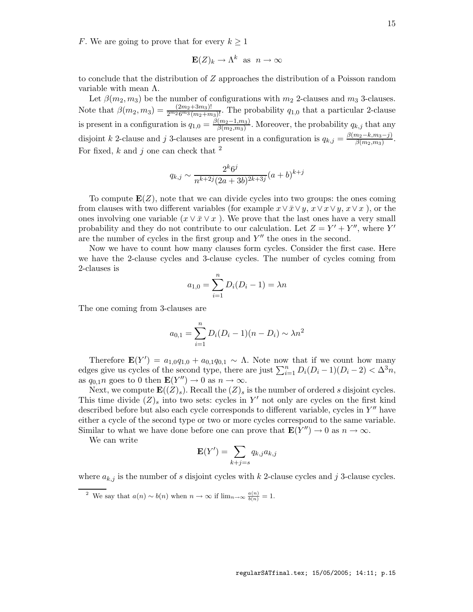F. We are going to prove that for every  $k \geq 1$ 

$$
\mathbf{E}(Z)_k \to \Lambda^k \text{ as } n \to \infty
$$

to conclude that the distribution of Z approaches the distribution of a Poisson random variable with mean  $\Lambda$ .

Let  $\beta(m_2, m_3)$  be the number of configurations with  $m_2$  2-clauses and  $m_3$  3-clauses. Note that  $\beta(m_2, m_3) = \frac{(2m_2+3m_3)!}{2^{m_2}\delta^{m_3}(m_2+m_3)!}$ . The probability  $q_{1,0}$  that a particular 2-clause is present in a configuration is  $q_{1,0} = \frac{\beta(m_2-1,m_3)}{\beta(m_2,m_3)}$ . Moreover, the probability  $q_{k,j}$  that any disjoint k 2-clause and j 3-clauses are present in a configuration is  $q_{k,j} = \frac{\beta(m_2-k,m_3-j)}{\beta(m_2,m_3)}$ . For fixed,  $k$  and  $j$  one can check that <sup>2</sup>

$$
q_{k,j} \sim \frac{2^k 6^j}{n^{k+2j} (2a+3b)^{2k+3j}} (a+b)^{k+j}
$$

To compute  $E(Z)$ , note that we can divide cycles into two groups: the ones coming from clauses with two different variables (for example  $x \vee \overline{x} \vee y$ ,  $x \vee x \vee y$ ,  $x \vee x$ ), or the ones involving one variable  $(x \vee \overline{x} \vee x)$ . We prove that the last ones have a very small probability and they do not contribute to our calculation. Let  $Z = Y' + Y''$ , where Y' are the number of cycles in the first group and  $Y''$  the ones in the second.

Now we have to count how many clauses form cycles. Consider the first case. Here we have the 2-clause cycles and 3-clause cycles. The number of cycles coming from 2-clauses is

$$
a_{1,0} = \sum_{i=1}^{n} D_i (D_i - 1) = \lambda n
$$

The one coming from 3-clauses are

$$
a_{0,1} = \sum_{i=1}^{n} D_i (D_i - 1)(n - D_i) \sim \lambda n^2
$$

Therefore  $\mathbf{E}(Y') = a_{1,0}q_{1,0} + a_{0,1}q_{0,1} \sim \Lambda$ . Note now that if we count how many edges give us cycles of the second type, there are just  $\sum_{i=1}^{n} D_i(D_i - 1)(D_i - 2) < \Delta^3 n$ , as  $q_{0,1}$ n goes to 0 then  $\mathbf{E}(Y'') \to 0$  as  $n \to \infty$ .

Next, we compute  $\mathbf{E}((Z)_s)$ . Recall the  $(Z)_s$  is the number of ordered s disjoint cycles. This time divide  $(Z)_{s}$  into two sets: cycles in Y' not only are cycles on the first kind described before but also each cycle corresponds to different variable, cycles in  $Y''$  have either a cycle of the second type or two or more cycles correspond to the same variable. Similar to what we have done before one can prove that  $\mathbf{E}(Y'') \to 0$  as  $n \to \infty$ .

We can write

$$
\mathbf{E}(Y') = \sum_{k+j=s} q_{k,j} a_{k,j}
$$

where  $a_{k,j}$  is the number of s disjoint cycles with k 2-clause cycles and j 3-clause cycles.

<sup>&</sup>lt;sup>2</sup> We say that  $a(n) \sim b(n)$  when  $n \to \infty$  if  $\lim_{n \to \infty} \frac{a(n)}{b(n)} = 1$ .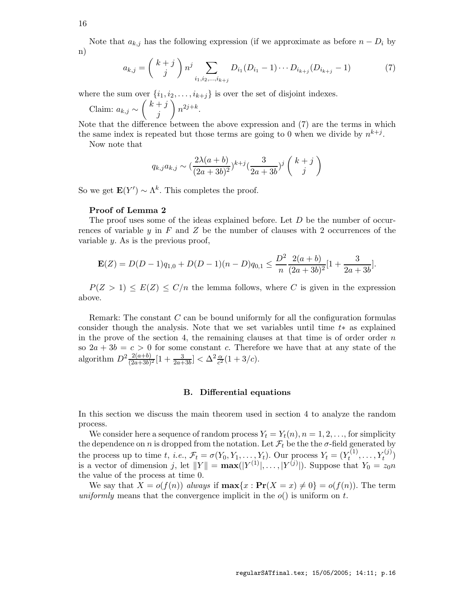Note that  $a_{k,j}$  has the following expression (if we approximate as before  $n - D_i$  by n)

$$
a_{k,j} = {k+j \choose j} n^j \sum_{i_1, i_2, \dots, i_{k+j}} D_{i_1} (D_{i_1} - 1) \cdots D_{i_{k+j}} (D_{i_{k+j}} - 1)
$$
 (7)

where the sum over  $\{i_1, i_2, \ldots, i_{k+j}\}$  is over the set of disjoint indexes.

Claim: 
$$
a_{k,j} \sim \left(\begin{array}{c} k+j \\ j \end{array}\right) n^{2j+k}.
$$

Note that the difference between the above expression and (7) are the terms in which the same index is repeated but those terms are going to 0 when we divide by  $n^{k+j}$ .

Now note that

$$
q_{k,j}a_{k,j} \sim \left(\frac{2\lambda(a+b)}{(2a+3b)^2}\right)^{k+j} \left(\frac{3}{2a+3b}\right)^j \binom{k+j}{j}
$$

So we get  $\mathbf{E}(Y') \sim \Lambda^k$ . This completes the proof.

#### **Proof of Lemma 2**

The proof uses some of the ideas explained before. Let  $D$  be the number of occurrences of variable y in F and Z be the number of clauses with 2 occurrences of the variable  $y$ . As is the previous proof,

$$
\mathbf{E}(Z) = D(D-1)q_{1,0} + D(D-1)(n-D)q_{0,1} \le \frac{D^2}{n} \frac{2(a+b)}{(2a+3b)^2} [1 + \frac{3}{2a+3b}].
$$

 $P(Z > 1) \leq E(Z) \leq C/n$  the lemma follows, where C is given in the expression above.

Remark: The constant C can be bound uniformly for all the configuration formulas consider though the analysis. Note that we set variables until time t∗ as explained in the prove of the section 4, the remaining clauses at that time is of order order  $n$ so  $2a + 3b = c > 0$  for some constant c. Therefore we have that at any state of the algorithm  $D^2 \frac{2(a+b)}{(2a+3b)^2} [1 + \frac{3}{2a+3b}] < \Delta^2 \frac{\alpha}{c^2} (1 + 3/c).$ 

#### **B. Differential equations**

In this section we discuss the main theorem used in section 4 to analyze the random process.

We consider here a sequence of random process  $Y_t = Y_t(n)$ ,  $n = 1, 2, \ldots$ , for simplicity the dependence on n is dropped from the notation. Let  $\mathcal{F}_t$  be the the  $\sigma$ -field generated by the process up to time t, *i.e.*,  $\mathcal{F}_t = \sigma(Y_0, Y_1, \ldots, Y_t)$ . Our process  $Y_t = (Y_t^{(1)}, \ldots, Y_t^{(j)})$ is a vector of dimension j, let  $||Y|| = \max(|Y^{(1)}|, \ldots, |Y^{(j)}|)$ . Suppose that  $Y_0 = z_0 n$ the value of the process at time 0.

We say that  $X = o(f(n))$  always if  $\max\{x : \mathbf{Pr}(X = x) \neq 0\} = o(f(n))$ . The term *uniformly* means that the convergence implicit in the  $o()$  is uniform on t.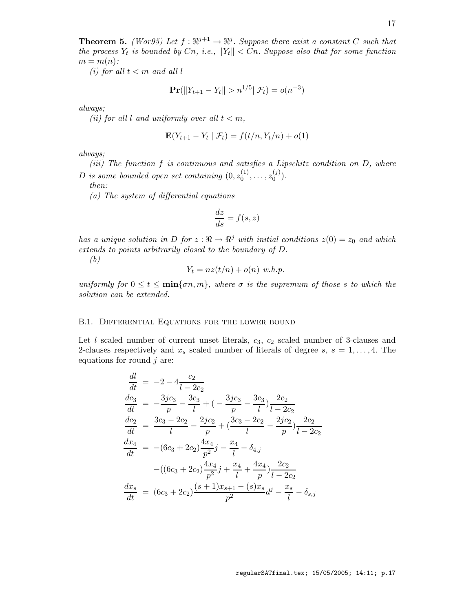**Theorem 5.** *(Wor95)* Let  $f : \mathbb{R}^{j+1} \to \mathbb{R}^j$ . Suppose there exist a constant C such that *the process*  $Y_t$  *is bounded by Cn, i.e.,*  $||Y_t|| < Cn$ *. Suppose also that for some function*  $m = m(n)$ :

*(i)* for all  $t < m$  and all l

$$
\Pr(||Y_{t+1} - Y_t|| > n^{1/5} | \mathcal{F}_t) = o(n^{-3})
$$

*always;*

*(ii)* for all l and uniformly over all  $t < m$ ,

$$
\mathbf{E}(Y_{t+1} - Y_t | \mathcal{F}_t) = f(t/n, Y_t/n) + o(1)
$$

*always;*

*(iii) The function* f *is continuous and satisfies a Lipschitz condition on* D*, where* D is some bounded open set containing  $(0, z_0^{(1)}, \ldots, z_0^{(j)})$ .

*then:*

*(a) The system of differential equations*

$$
\frac{dz}{ds} = f(s, z)
$$

*has a unique solution in* D *for*  $z : \mathbb{R} \to \mathbb{R}^j$  *with initial conditions*  $z(0) = z_0$  *and which extends to points arbitrarily closed to the boundary of* D*.*

*(b)*

$$
Y_t = nz(t/n) + o(n) \ w.h.p.
$$

*uniformly for*  $0 \le t \le \min\{\sigma n, m\}$ *, where*  $\sigma$  *is the supremum of those s to which the solution can be extended.*

#### B.1. Differential Equations for the lower bound

Let  $l$  scaled number of current unset literals,  $c_3$ ,  $c_2$  scaled number of 3-clauses and 2-clauses respectively and  $x_s$  scaled number of literals of degree  $s, s = 1, \ldots, 4$ . The equations for round  $j$  are:

$$
\frac{dl}{dt} = -2 - 4\frac{c_2}{l - 2c_2}
$$
\n
$$
\frac{dc_3}{dt} = -\frac{3jc_3}{p} - \frac{3c_3}{l} + \left(-\frac{3jc_3}{p} - \frac{3c_3}{l}\right)\frac{2c_2}{l - 2c_2}
$$
\n
$$
\frac{dc_2}{dt} = \frac{3c_3 - 2c_2}{l} - \frac{2jc_2}{p} + \left(\frac{3c_3 - 2c_2}{l} - \frac{2jc_2}{p}\right)\frac{2c_2}{l - 2c_2}
$$
\n
$$
\frac{dx_4}{dt} = -(6c_3 + 2c_2)\frac{4x_4}{p^2}j - \frac{x_4}{l} - \delta_{4,j}
$$
\n
$$
-((6c_3 + 2c_2)\frac{4x_4}{p^2}j + \frac{x_4}{l} + \frac{4x_4}{p})\frac{2c_2}{l - 2c_2}
$$
\n
$$
\frac{dx_s}{dt} = (6c_3 + 2c_2)\frac{(s + 1)x_{s+1} - (s)x_s}{p^2}d^j - \frac{x_s}{l} - \delta_{s,j}
$$